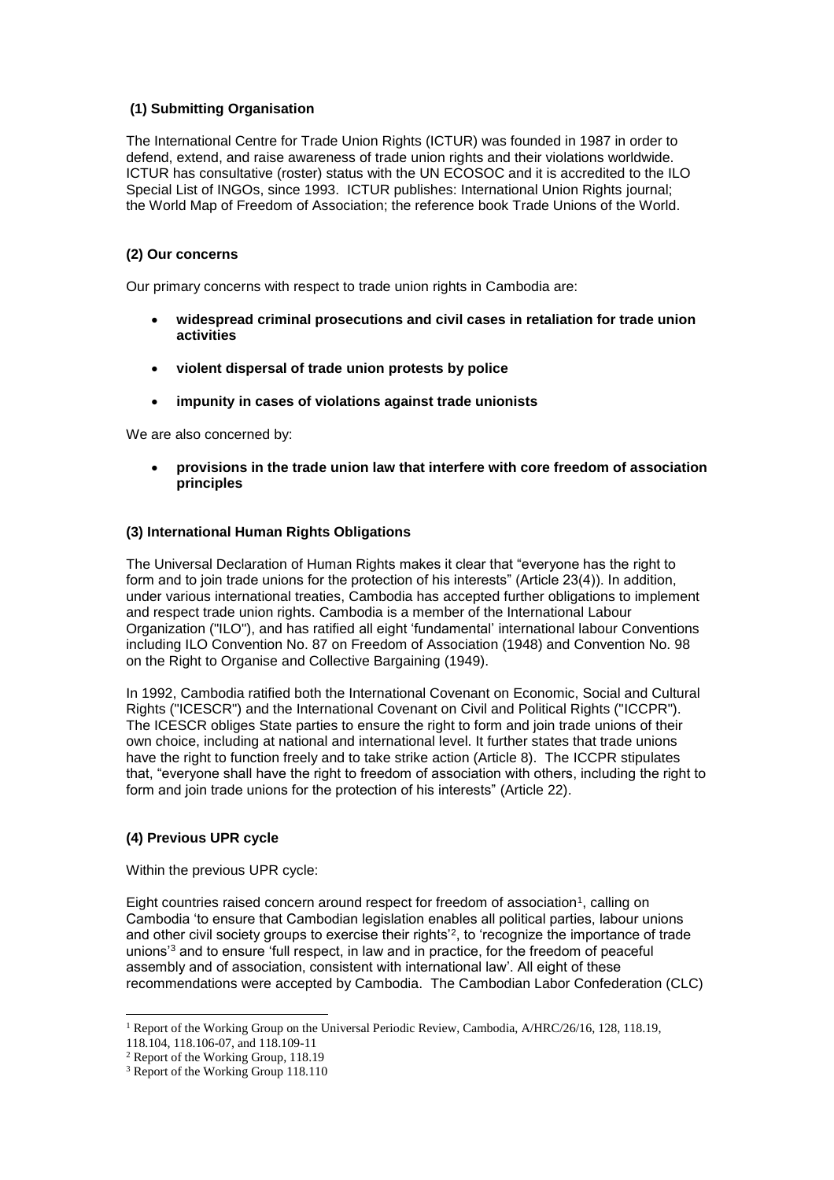# **(1) Submitting Organisation**

The International Centre for Trade Union Rights (ICTUR) was founded in 1987 in order to defend, extend, and raise awareness of trade union rights and their violations worldwide. ICTUR has consultative (roster) status with the UN ECOSOC and it is accredited to the ILO Special List of INGOs, since 1993. ICTUR publishes: International Union Rights journal; the World Map of Freedom of Association; the reference book Trade Unions of the World.

# **(2) Our concerns**

Our primary concerns with respect to trade union rights in Cambodia are:

- **widespread criminal prosecutions and civil cases in retaliation for trade union activities**
- **violent dispersal of trade union protests by police**
- **impunity in cases of violations against trade unionists**

We are also concerned by:

 **provisions in the trade union law that interfere with core freedom of association principles**

# **(3) International Human Rights Obligations**

The Universal Declaration of Human Rights makes it clear that "everyone has the right to form and to join trade unions for the protection of his interests" (Article 23(4)). In addition, under various international treaties, Cambodia has accepted further obligations to implement and respect trade union rights. Cambodia is a member of the International Labour Organization ("ILO"), and has ratified all eight 'fundamental' international labour Conventions including ILO Convention No. 87 on Freedom of Association (1948) and Convention No. 98 on the Right to Organise and Collective Bargaining (1949).

In 1992, Cambodia ratified both the International Covenant on Economic, Social and Cultural Rights ("ICESCR") and the International Covenant on Civil and Political Rights ("ICCPR"). The ICESCR obliges State parties to ensure the right to form and join trade unions of their own choice, including at national and international level. It further states that trade unions have the right to function freely and to take strike action (Article 8). The ICCPR stipulates that, "everyone shall have the right to freedom of association with others, including the right to form and join trade unions for the protection of his interests" (Article 22).

### **(4) Previous UPR cycle**

Within the previous UPR cycle:

Eight countries raised concern around respect for freedom of association<sup>1</sup>, calling on Cambodia 'to ensure that Cambodian legislation enables all political parties, labour unions and other civil society groups to exercise their rights'<sup>2</sup>, to 'recognize the importance of trade unions'<sup>3</sup> and to ensure 'full respect, in law and in practice, for the freedom of peaceful assembly and of association, consistent with international law'. All eight of these recommendations were accepted by Cambodia. The Cambodian Labor Confederation (CLC)

 $\overline{a}$ <sup>1</sup> Report of the Working Group on the Universal Periodic Review, Cambodia, A/HRC/26/16, 128, 118.19,

<sup>118.104, 118.106-07,</sup> and 118.109-11

<sup>2</sup> Report of the Working Group, 118.19

<sup>&</sup>lt;sup>3</sup> Report of the Working Group 118.110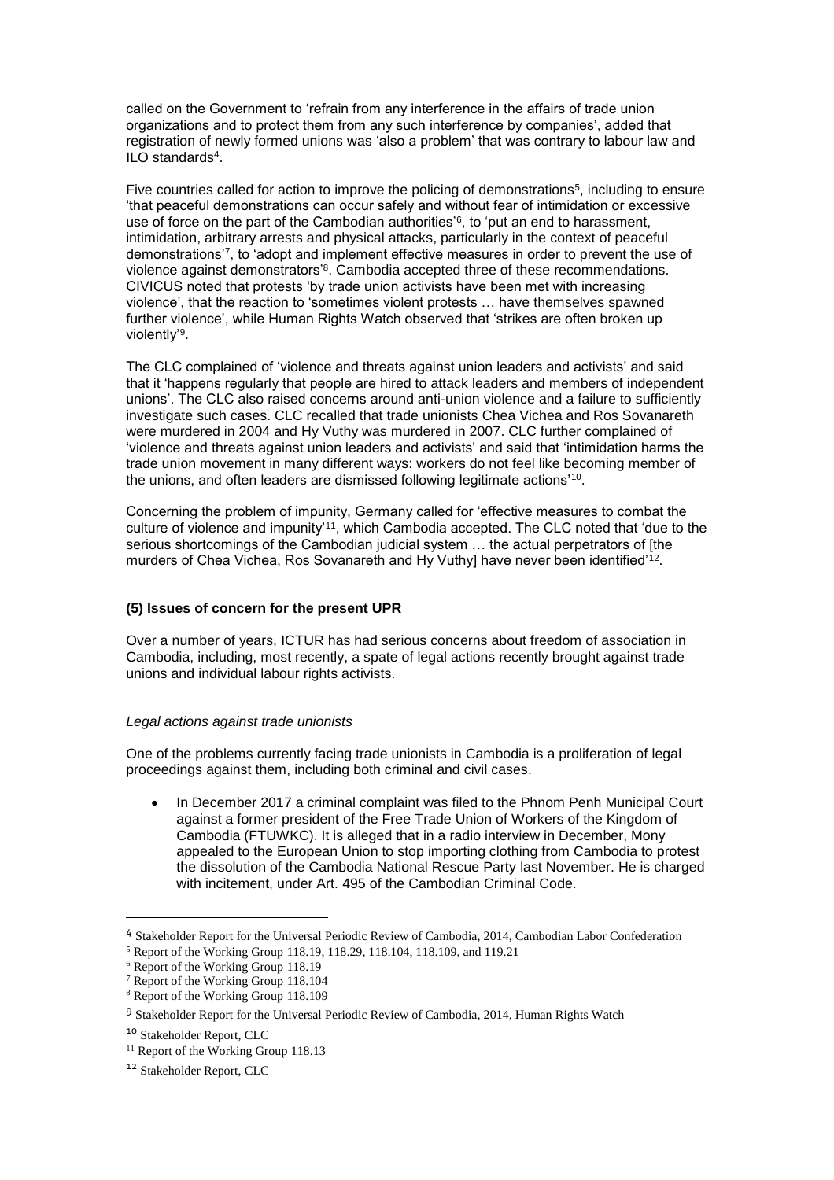called on the Government to 'refrain from any interference in the affairs of trade union organizations and to protect them from any such interference by companies', added that registration of newly formed unions was 'also a problem' that was contrary to labour law and ILO standards<sup>4</sup> .

Five countries called for action to improve the policing of demonstrations<sup>5</sup>, including to ensure 'that peaceful demonstrations can occur safely and without fear of intimidation or excessive use of force on the part of the Cambodian authorities'<sup>6</sup> , to 'put an end to harassment, intimidation, arbitrary arrests and physical attacks, particularly in the context of peaceful demonstrations'<sup>7</sup> , to 'adopt and implement effective measures in order to prevent the use of violence against demonstrators'<sup>8</sup>. Cambodia accepted three of these recommendations. CIVICUS noted that protests 'by trade union activists have been met with increasing violence', that the reaction to 'sometimes violent protests … have themselves spawned further violence', while Human Rights Watch observed that 'strikes are often broken up violently'<sup>9</sup> .

The CLC complained of 'violence and threats against union leaders and activists' and said that it 'happens regularly that people are hired to attack leaders and members of independent unions'. The CLC also raised concerns around anti-union violence and a failure to sufficiently investigate such cases. CLC recalled that trade unionists Chea Vichea and Ros Sovanareth were murdered in 2004 and Hy Vuthy was murdered in 2007. CLC further complained of 'violence and threats against union leaders and activists' and said that 'intimidation harms the trade union movement in many different ways: workers do not feel like becoming member of the unions, and often leaders are dismissed following legitimate actions' $^{\rm 10}$ .

Concerning the problem of impunity, Germany called for 'effective measures to combat the culture of violence and impunity'<sup>11</sup>, which Cambodia accepted. The CLC noted that 'due to the serious shortcomings of the Cambodian judicial system … the actual perpetrators of [the murders of Chea Vichea, Ros Sovanareth and Hy Vuthy] have never been identified' $^{12}.$ 

### **(5) Issues of concern for the present UPR**

Over a number of years, ICTUR has had serious concerns about freedom of association in Cambodia, including, most recently, a spate of legal actions recently brought against trade unions and individual labour rights activists.

### *Legal actions against trade unionists*

One of the problems currently facing trade unionists in Cambodia is a proliferation of legal proceedings against them, including both criminal and civil cases.

 In December 2017 a criminal complaint was filed to the Phnom Penh Municipal Court against a former president of the Free Trade Union of Workers of the Kingdom of Cambodia (FTUWKC). It is alleged that in a radio interview in December, Mony appealed to the European Union to stop importing clothing from Cambodia to protest the dissolution of the Cambodia National Rescue Party last November. He is charged with incitement, under Art. 495 of the Cambodian Criminal Code.

 $\overline{a}$ 

<sup>4</sup> Stakeholder Report for the Universal Periodic Review of Cambodia, 2014, Cambodian Labor Confederation

<sup>5</sup> Report of the Working Group 118.19, 118.29, 118.104, 118.109, and 119.21

<sup>&</sup>lt;sup>6</sup> Report of the Working Group 118.19

<sup>7</sup> Report of the Working Group 118.104

<sup>8</sup> Report of the Working Group 118.109

<sup>&</sup>lt;sup>9</sup> Stakeholder Report for the Universal Periodic Review of Cambodia, 2014, Human Rights Watch

<sup>10</sup> Stakeholder Report, CLC

<sup>&</sup>lt;sup>11</sup> Report of the Working Group 118.13

<sup>12</sup> Stakeholder Report, CLC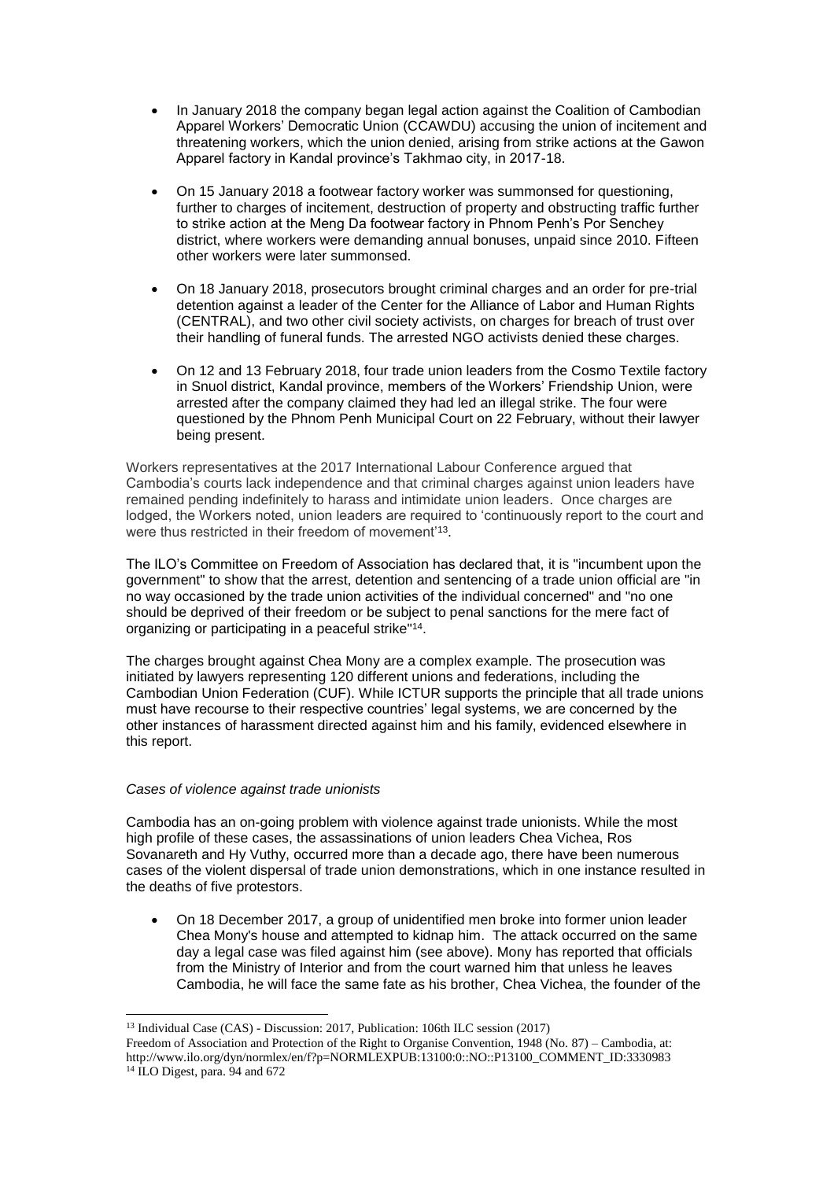- In January 2018 the company began legal action against the Coalition of Cambodian Apparel Workers' Democratic Union (CCAWDU) accusing the union of incitement and threatening workers, which the union denied, arising from strike actions at the Gawon Apparel factory in Kandal province's Takhmao city, in 2017-18.
- On 15 January 2018 a footwear factory worker was summonsed for questioning, further to charges of incitement, destruction of property and obstructing traffic further to strike action at the Meng Da footwear factory in Phnom Penh's Por Senchey district, where workers were demanding annual bonuses, unpaid since 2010. Fifteen other workers were later summonsed.
- On 18 January 2018, prosecutors brought criminal charges and an order for pre-trial detention against a leader of the Center for the Alliance of Labor and Human Rights (CENTRAL), and two other civil society activists, on charges for breach of trust over their handling of funeral funds. The arrested NGO activists denied these charges.
- On 12 and 13 February 2018, four trade union leaders from the Cosmo Textile factory in Snuol district, Kandal province, members of the Workers' Friendship Union, were arrested after the company claimed they had led an illegal strike. The four were questioned by the Phnom Penh Municipal Court on 22 February, without their lawyer being present.

Workers representatives at the 2017 International Labour Conference argued that Cambodia's courts lack independence and that criminal charges against union leaders have remained pending indefinitely to harass and intimidate union leaders. Once charges are lodged, the Workers noted, union leaders are required to 'continuously report to the court and were thus restricted in their freedom of movement'<sup>13</sup> .

The ILO's Committee on Freedom of Association has declared that, it is "incumbent upon the government" to show that the arrest, detention and sentencing of a trade union official are "in no way occasioned by the trade union activities of the individual concerned" and "no one should be deprived of their freedom or be subject to penal sanctions for the mere fact of organizing or participating in a peaceful strike"<sup>14</sup> .

The charges brought against Chea Mony are a complex example. The prosecution was initiated by lawyers representing 120 different unions and federations, including the Cambodian Union Federation (CUF). While ICTUR supports the principle that all trade unions must have recourse to their respective countries' legal systems, we are concerned by the other instances of harassment directed against him and his family, evidenced elsewhere in this report.

# *Cases of violence against trade unionists*

 $\overline{a}$ 

Cambodia has an on-going problem with violence against trade unionists. While the most high profile of these cases, the assassinations of union leaders Chea Vichea, Ros Sovanareth and Hy Vuthy, occurred more than a decade ago, there have been numerous cases of the violent dispersal of trade union demonstrations, which in one instance resulted in the deaths of five protestors.

 On 18 December 2017, a group of unidentified men broke into former union leader Chea Mony's house and attempted to kidnap him. The attack occurred on the same day a legal case was filed against him (see above). Mony has reported that officials from the Ministry of Interior and from the court warned him that unless he leaves Cambodia, he will face the same fate as his brother, Chea Vichea, the founder of the

<sup>&</sup>lt;sup>13</sup> Individual Case (CAS) - Discussion: 2017, Publication: 106th ILC session (2017) [Freedom of Association and Protection of the Right to Organise Convention, 1948 \(No.](http://www.ilo.org/dyn/normlex/en/f?p=NORMLEXPUB:12100:0::NO:12100:P12100_INSTRUMENT_ID:312232:NO) 87) – Cambodia, at: [http://www.ilo.org/dyn/normlex/en/f?p=NORMLEXPUB:13100:0::NO::P13100\\_COMMENT\\_ID:3330983](http://www.ilo.org/dyn/normlex/en/f?p=NORMLEXPUB:13100:0::NO::P13100_COMMENT_ID:3330983) <sup>14</sup> ILO Digest, para. 94 and 672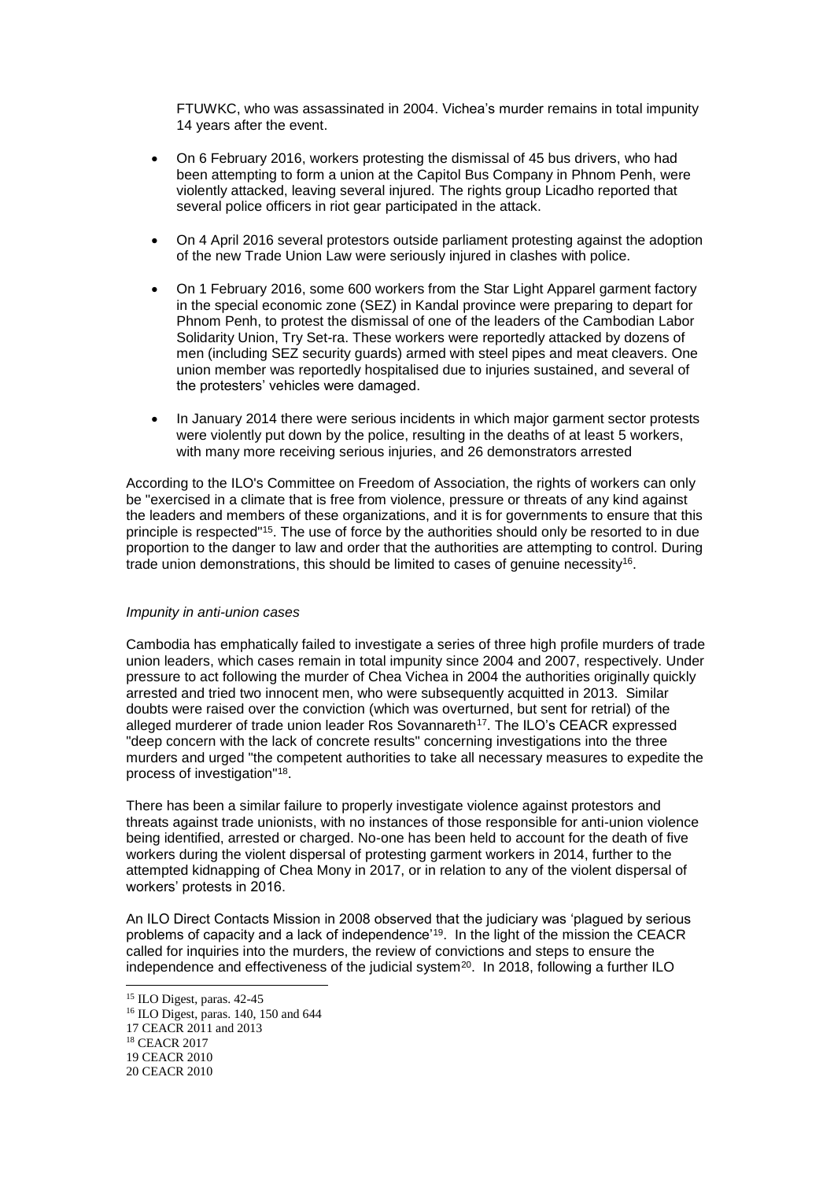FTUWKC, who was assassinated in 2004. Vichea's murder remains in total impunity 14 years after the event.

- On 6 February 2016, workers protesting the dismissal of 45 bus drivers, who had been attempting to form a union at the Capitol Bus Company in Phnom Penh, were violently attacked, leaving several injured. The rights group Licadho reported that several police officers in riot gear participated in the attack.
- On 4 April 2016 several protestors outside parliament protesting against the adoption of the new Trade Union Law were seriously injured in clashes with police.
- On 1 February 2016, some 600 workers from the Star Light Apparel garment factory in the special economic zone (SEZ) in Kandal province were preparing to depart for Phnom Penh, to protest the dismissal of one of the leaders of the Cambodian Labor Solidarity Union, Try Set-ra. These workers were reportedly attacked by dozens of men (including SEZ security guards) armed with steel pipes and meat cleavers. One union member was reportedly hospitalised due to injuries sustained, and several of the protesters' vehicles were damaged.
- In January 2014 there were serious incidents in which major garment sector protests were violently put down by the police, resulting in the deaths of at least 5 workers, with many more receiving serious injuries, and 26 demonstrators arrested

According to the ILO's Committee on Freedom of Association, the rights of workers can only be "exercised in a climate that is free from violence, pressure or threats of any kind against the leaders and members of these organizations, and it is for governments to ensure that this principle is respected"<sup>15</sup>. The use of force by the authorities should only be resorted to in due proportion to the danger to law and order that the authorities are attempting to control. During trade union demonstrations, this should be limited to cases of genuine necessity<sup>16</sup>.

### *Impunity in anti-union cases*

Cambodia has emphatically failed to investigate a series of three high profile murders of trade union leaders, which cases remain in total impunity since 2004 and 2007, respectively. Under pressure to act following the murder of Chea Vichea in 2004 the authorities originally quickly arrested and tried two innocent men, who were subsequently acquitted in 2013. Similar doubts were raised over the conviction (which was overturned, but sent for retrial) of the alleged murderer of trade union leader Ros Sovannareth<sup>17</sup>. The ILO's CEACR expressed "deep concern with the lack of concrete results" concerning investigations into the three murders and urged "the competent authorities to take all necessary measures to expedite the process of investigation"<sup>18</sup> .

There has been a similar failure to properly investigate violence against protestors and threats against trade unionists, with no instances of those responsible for anti-union violence being identified, arrested or charged. No-one has been held to account for the death of five workers during the violent dispersal of protesting garment workers in 2014, further to the attempted kidnapping of Chea Mony in 2017, or in relation to any of the violent dispersal of workers' protests in 2016.

An ILO Direct Contacts Mission in 2008 observed that the judiciary was 'plagued by serious problems of capacity and a lack of independence'<sup>19</sup>. In the light of the mission the CEACR called for inquiries into the murders, the review of convictions and steps to ensure the independence and effectiveness of the judicial system<sup>20</sup>. In 2018, following a further ILO

 $\overline{a}$ 

<sup>15</sup> ILO Digest, paras. 42-45 <sup>16</sup> ILO Digest, paras. 140, 150 and 644 17 CEACR 2011 and 2013 <sup>18</sup> CEACR 2017 19 CEACR 2010 20 CEACR 2010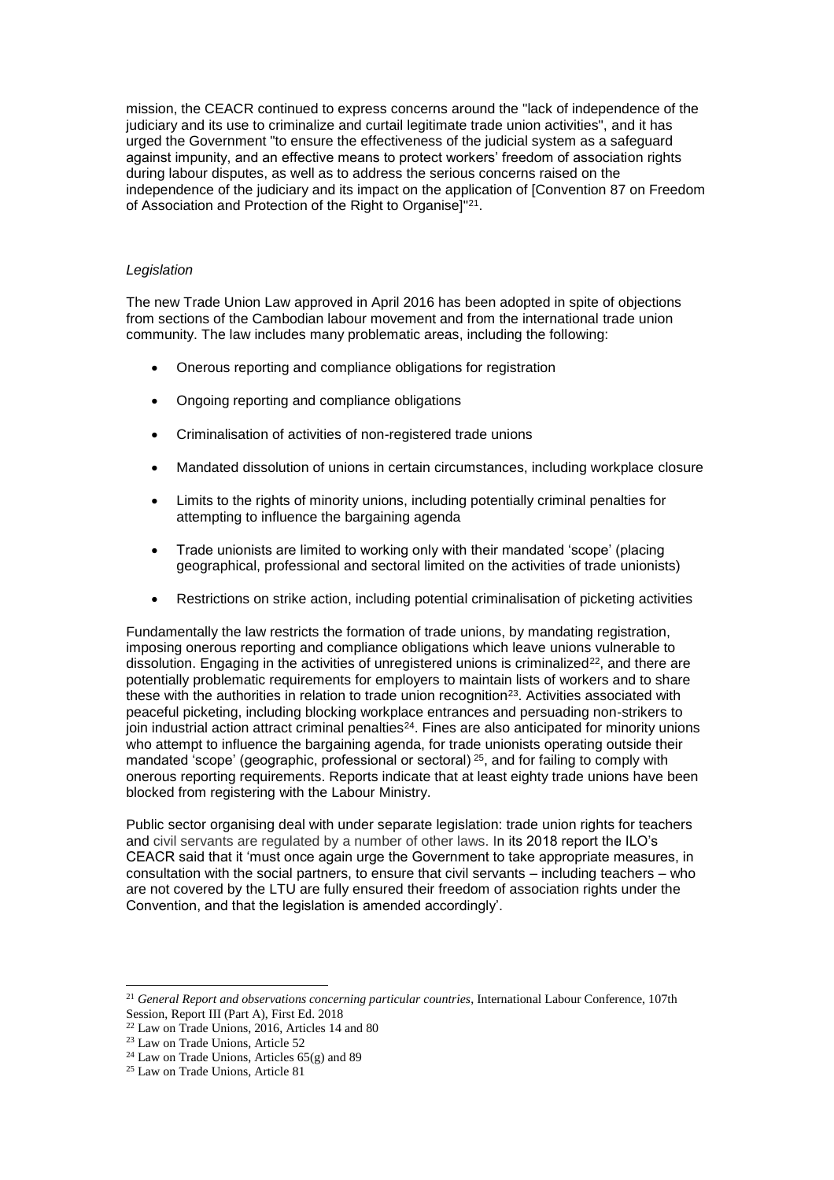mission, the CEACR continued to express concerns around the "lack of independence of the judiciary and its use to criminalize and curtail legitimate trade union activities", and it has urged the Government "to ensure the effectiveness of the judicial system as a safeguard against impunity, and an effective means to protect workers' freedom of association rights during labour disputes, as well as to address the serious concerns raised on the independence of the judiciary and its impact on the application of [Convention 87 on Freedom of Association and Protection of the Right to Organise]"<sup>21</sup> .

### *Legislation*

The new Trade Union Law approved in April 2016 has been adopted in spite of objections from sections of the Cambodian labour movement and from the international trade union community. The law includes many problematic areas, including the following:

- Onerous reporting and compliance obligations for registration
- Ongoing reporting and compliance obligations
- Criminalisation of activities of non-registered trade unions
- Mandated dissolution of unions in certain circumstances, including workplace closure
- Limits to the rights of minority unions, including potentially criminal penalties for attempting to influence the bargaining agenda
- Trade unionists are limited to working only with their mandated 'scope' (placing geographical, professional and sectoral limited on the activities of trade unionists)
- Restrictions on strike action, including potential criminalisation of picketing activities

Fundamentally the law restricts the formation of trade unions, by mandating registration, imposing onerous reporting and compliance obligations which leave unions vulnerable to dissolution. Engaging in the activities of unregistered unions is criminalized<sup>22</sup>, and there are potentially problematic requirements for employers to maintain lists of workers and to share these with the authorities in relation to trade union recognition<sup>23</sup>. Activities associated with peaceful picketing, including blocking workplace entrances and persuading non-strikers to join industrial action attract criminal penalties $24$ . Fines are also anticipated for minority unions who attempt to influence the bargaining agenda, for trade unionists operating outside their mandated 'scope' (geographic, professional or sectoral) <sup>25</sup>, and for failing to comply with onerous reporting requirements. Reports indicate that at least eighty trade unions have been blocked from registering with the Labour Ministry.

Public sector organising deal with under separate legislation: trade union rights for teachers and civil servants are regulated by a number of other laws. In its 2018 report the ILO's CEACR said that it 'must once again urge the Government to take appropriate measures, in consultation with the social partners, to ensure that civil servants – including teachers – who are not covered by the LTU are fully ensured their freedom of association rights under the Convention, and that the legislation is amended accordingly'.

 $\overline{a}$ 

<sup>21</sup> *General Report and observations concerning particular countries*, International Labour Conference, 107th Session, Report III (Part A), First Ed. 2018

<sup>22</sup> Law on Trade Unions, 2016, Articles 14 and 80

<sup>23</sup> Law on Trade Unions, Article 52

<sup>24</sup> Law on Trade Unions, Articles 65(g) and 89

<sup>25</sup> Law on Trade Unions, Article 81